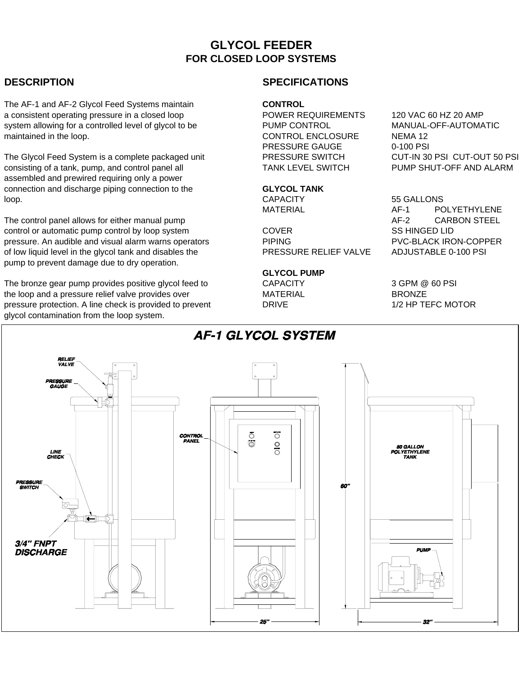# **GLYCOL FEEDER FOR CLOSED LOOP SYSTEMS**

The AF-1 and AF-2 Glycol Feed Systems maintain **CONTROL** a consistent operating pressure in a closed loop POWER REQUIREMENTS 120 VAC 60 HZ 20 AMP system allowing for a controlled level of glycol to be  $\qquad \qquad$  PUMP CONTROL MANUAL-OFF-AUTOMATIC maintained in the loop. The loop is a set of the loop. The control ENCLOSURE In the loop. The set of the set of the set of the set of the set of the set of the set of the set of the set of the set of the set of the set of

The Glycol Feed System is a complete packaged unit PRESSURE SWITCH CUT-IN 30 PSI CUT-OUT 50 PSI consisting of a tank, pump, and control panel all TANK LEVEL SWITCH PUMP SHUT-OFF AND ALARM assembled and prewired requiring only a power connection and discharge piping connection to the **GLYCOL TANK**<br>
loop. CAPACITY loop. CAPACITY 55 GALLONS

The control panel allows for either manual pump and allows the control panel allows for either manual pump and  $AF-2$  CARBON STEEL control or automatic pump control by loop system COVER SS HINGED LID pressure. An audible and visual alarm warns operators **PIPING** PVC-BLACK IRON-COPPER of low liquid level in the glycol tank and disables the PRESSURE RELIEF VALVE ADJUSTABLE 0-100 PSI pump to prevent damage due to dry operation.

The bronze gear pump provides positive glycol feed to  $\overline{C}$  CAPACITY 3 GPM @ 60 PSI the loop and a pressure relief valve provides over **MATERIAL** BRONZE pressure protection. A line check is provided to prevent DRIVE DRIVE 1/2 HP TEFC MOTOR glycol contamination from the loop system.

## **DESCRIPTION SPECIFICATIONS**

PRESSURE GAUGE 0-100 PSI

### **GLYCOL PUMP**

MATERIAL **AF-1** POLYETHYLENE

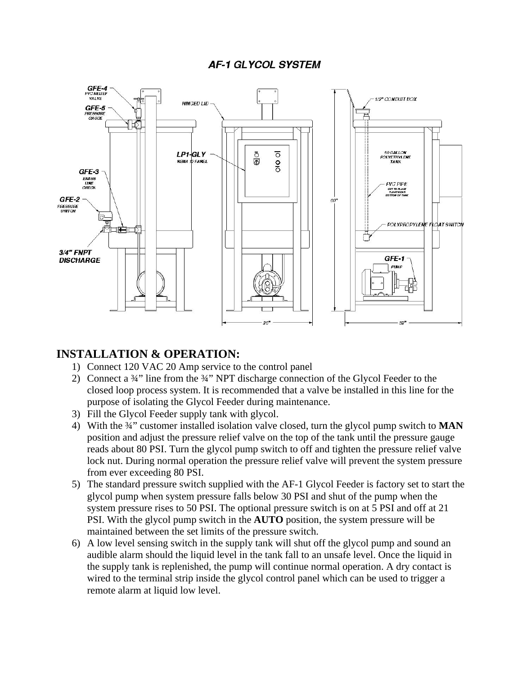## **AF-1 GLYCOL SYSTEM**



## **INSTALLATION & OPERATION:**

- 1) Connect 120 VAC 20 Amp service to the control panel
- 2) Connect a ¾" line from the ¾" NPT discharge connection of the Glycol Feeder to the closed loop process system. It is recommended that a valve be installed in this line for the purpose of isolating the Glycol Feeder during maintenance.
- 3) Fill the Glycol Feeder supply tank with glycol.
- 4) With the ¾" customer installed isolation valve closed, turn the glycol pump switch to **MAN** position and adjust the pressure relief valve on the top of the tank until the pressure gauge reads about 80 PSI. Turn the glycol pump switch to off and tighten the pressure relief valve lock nut. During normal operation the pressure relief valve will prevent the system pressure from ever exceeding 80 PSI.
- 5) The standard pressure switch supplied with the AF-1 Glycol Feeder is factory set to start the glycol pump when system pressure falls below 30 PSI and shut of the pump when the system pressure rises to 50 PSI. The optional pressure switch is on at 5 PSI and off at 21 PSI. With the glycol pump switch in the **AUTO** position, the system pressure will be maintained between the set limits of the pressure switch.
- 6) A low level sensing switch in the supply tank will shut off the glycol pump and sound an audible alarm should the liquid level in the tank fall to an unsafe level. Once the liquid in the supply tank is replenished, the pump will continue normal operation. A dry contact is wired to the terminal strip inside the glycol control panel which can be used to trigger a remote alarm at liquid low level.